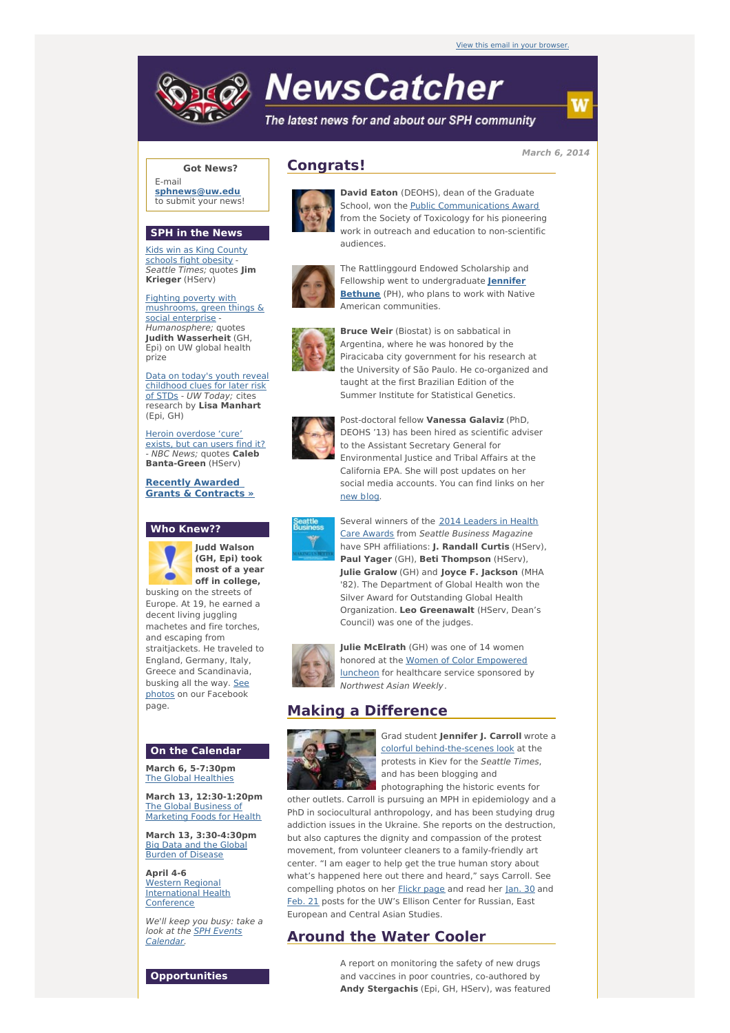# **NewsCatcher**

The latest news for and about our SPH community

**March 6, 2014**

### **Got News?**

E-mail **[sphnews@uw.edu](mailto:sphnews@uw.edu)** to submit your news!

#### **SPH in the News**

Kids win as King County [schools](http://engage.washington.edu/site/R?i=zLP_k92wOe981UvEibwEOA) fight obesity - Seattle Times; quotes **Jim Krieger** (HServ)

Fighting poverty with [mushrooms,](http://engage.washington.edu/site/R?i=_lCRNmUN7rUeqMJWUfYZVw) green things & social enterprise - Humanosphere; quotes **Judith Wasserheit** (GH, Epi) on UW global health prize

Data on today's youth reveal [childhood](http://engage.washington.edu/site/R?i=UDhK5QXC3TscgY359fnjzw) clues for later risk of STDs - UW Today; cites research by **Lisa Manhart** (Epi, GH)

Heroin [overdose](http://engage.washington.edu/site/R?i=deSb0n-N9_FH7fwlke0q5w) 'cure' exists, but can users find it? - NBC News; quotes **Caleb Banta-Green** (HServ)

**Recently Awarded Grants & [Contracts](http://engage.washington.edu/site/R?i=ETRSuK35_MwVppxVsnSt0A) »**

#### **Who Knew??**



**Judd Walson (GH, Epi) took most of a year off in college,**

busking on the streets of Europe. At 19, he earned a decent living juggling machetes and fire torches, and escaping from straitjackets. He traveled to England, Germany, Italy, Greece and Scandinavia, busking all the way. See photos on our [Facebook](http://engage.washington.edu/site/R?i=__wHpgUCSjaSwN8gwHYwRQ) page.

#### **On the Calendar**

**March 6, 5-7:30pm** The Global [Healthies](http://engage.washington.edu/site/R?i=aEwlH54REWgb5eqR2WeWRQ)

**March 13, 12:30-1:20pm** The Global Business of [Marketing](http://engage.washington.edu/site/R?i=TFr5JtxMohCa76Xy52nCUQ) Foods for Health

**March 13, 3:30-4:30pm** Big Data and the Global Burden of [Disease](http://engage.washington.edu/site/R?i=X9iNMLYZsIE3ojtFPpQfDQ)

**April 4-6** Western Regional [International](http://engage.washington.edu/site/R?i=PuuMhhsGt42dXDCGUtZ1Dg) Health **Conference** 

We'll keep you busy: take a look at the SPH Events [Calendar.](http://engage.washington.edu/site/R?i=eHIETXRTvgFH199zcJDuFQ)

# **Congrats!**



**David Eaton** (DEOHS), dean of the Graduate School, won the **Public [Communications](http://engage.washington.edu/site/R?i=VB5LPLHw8MjgAop20bpyNg) Award** from the Society of Toxicology for his pioneering work in outreach and education to non-scientific audiences.



The Rattlinggourd Endowed Scholarship and Fellowship went to [undergraduate](http://engage.washington.edu/site/R?i=YHq0ZxNya5tZvqYC8DK-dA) **Jennifer Bethune** (PH), who plans to work with Native American communities.



**Bruce Weir** (Biostat) is on sabbatical in Argentina, where he was honored by the Piracicaba city government for his research at the University of São Paulo. He co-organized and taught at the first Brazilian Edition of the Summer Institute for Statistical Genetics.



Post-doctoral fellow **Vanessa Galaviz** (PhD, DEOHS '13) has been hired as scientific adviser to the Assistant Secretary General for Environmental Justice and Tribal Affairs at the California EPA. She will post updates on her social media accounts. You can find links on her [new](http://engage.washington.edu/site/R?i=UrMCwdv8v86uKTUYpDfndA) [blog](http://engage.washington.edu/site/R?i=JD-HllDdw0gr9qXenK8ttA).



Several winners of the 2014 Leaders in Health Care Awards from Seattle Business [Magazine](http://engage.washington.edu/site/R?i=9E_BO0C-9NePBrAikJ2VxA) have SPH affiliations: **J. Randall Curtis** (HServ), **Paul Yager** (GH), **Beti Thompson** (HServ), **Julie Gralow** (GH) and **Joyce F. Jackson** (MHA '82). The Department of Global Health won the Silver Award for Outstanding Global Health Organization. **Leo Greenawalt** (HServ, Dean's Council) was one of the judges.



**Julie McElrath** (GH) was one of 14 women honored at the Women of Color [Empowered](http://engage.washington.edu/site/R?i=CESumeAjVMrSNnvIA_zziw) luncheon for healthcare service sponsored by Northwest Asian Weekly.

# **Making a Difference**



Grad student **Jennifer J. Carroll** wrote a colorful [behind-the-scenes](http://engage.washington.edu/site/R?i=8MPRu7oOoorgeJGHLKKk8A) look at the protests in Kiev for the Seattle Times, and has been blogging and photographing the historic events for

other outlets. Carroll is pursuing an MPH in epidemiology and a PhD in sociocultural anthropology, and has been studying drug addiction issues in the Ukraine. She reports on the destruction, but also captures the dignity and compassion of the protest movement, from volunteer cleaners to a family-friendly art center. "I am eager to help get the true human story about what's happened here out there and heard," says Carroll. See compelling photos on her [Flickr](http://engage.washington.edu/site/R?i=SKr0EpWkh6IiBCFJl0LXwQ) page and read her [Jan.](http://engage.washington.edu/site/R?i=oO1eQr-l_2UP7N2AU8sjFg) 30 and [Feb.](http://engage.washington.edu/site/R?i=xtmgF9zySpvV1Xt29X6ZRA) 21 posts for the UW's Ellison Center for Russian, East European and Central Asian Studies.

## **Around the Water Cooler**

A report on monitoring the safety of new drugs and vaccines in poor countries, co-authored by **Andy Stergachis** (Epi, GH, HServ), was featured

**Opportunities**